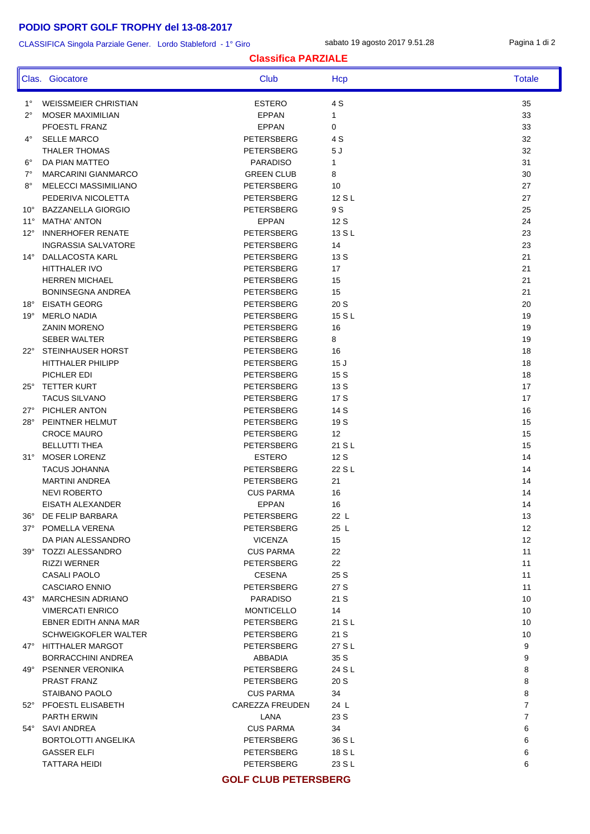# **PODIO SPORT GOLF TROPHY del 13-08-2017**

### CLASSIFICA Singola Parziale Gener. Lordo Stableford - 1° Giro

sabato 19 agosto 2017 9.51.28 Pagina 1 di 2

### **Classifica PARZIALE**

|              | Clas. Giocatore                     | Club                     | Hcp              | <b>Totale</b>     |
|--------------|-------------------------------------|--------------------------|------------------|-------------------|
| $1^{\circ}$  | <b>WEISSMEIER CHRISTIAN</b>         | <b>ESTERO</b>            | 4 S              | 35                |
| $2^{\circ}$  | <b>MOSER MAXIMILIAN</b>             | <b>EPPAN</b>             | $\mathbf 1$      | 33                |
|              | PFOESTL FRANZ                       | <b>EPPAN</b>             | 0                | 33                |
| $4^\circ$    | <b>SELLE MARCO</b>                  | PETERSBERG               | 4 S              | 32                |
|              | THALER THOMAS                       | PETERSBERG               | 5J               | 32                |
| $6^{\circ}$  | DA PIAN MATTEO                      | <b>PARADISO</b>          | $\mathbf{1}$     | 31                |
| $7^\circ$    | <b>MARCARINI GIANMARCO</b>          | <b>GREEN CLUB</b>        | 8                | 30                |
| $8^{\circ}$  | MELECCI MASSIMILIANO                | PETERSBERG               | 10               | 27                |
|              | PEDERIVA NICOLETTA                  | PETERSBERG               | 12 S L           | 27                |
| $10^{\circ}$ | <b>BAZZANELLA GIORGIO</b>           | PETERSBERG               | 9 S              | 25                |
| $11^{\circ}$ | <b>MATHA' ANTON</b>                 | <b>EPPAN</b>             | 12 S             | 24                |
| $12^{\circ}$ | <b>INNERHOFER RENATE</b>            | PETERSBERG               | 13 S L           | 23                |
|              | <b>INGRASSIA SALVATORE</b>          | PETERSBERG               | 14               | 23                |
| $14^{\circ}$ | DALLACOSTA KARL                     | PETERSBERG               | 13 S             | 21                |
|              | HITTHALER IVO                       | PETERSBERG               | 17               | 21                |
|              | <b>HERREN MICHAEL</b>               | PETERSBERG               | 15               | 21                |
|              | <b>BONINSEGNA ANDREA</b>            | <b>PETERSBERG</b>        | 15               | 21                |
| $18^{\circ}$ | <b>EISATH GEORG</b>                 | PETERSBERG               | 20 S             | 20                |
| $19^{\circ}$ | <b>MERLO NADIA</b>                  | PETERSBERG               | 15 S L           | 19                |
|              | <b>ZANIN MORENO</b>                 | <b>PETERSBERG</b>        | 16               | 19                |
|              | <b>SEBER WALTER</b>                 | PETERSBERG               | 8                | 19                |
| $22^{\circ}$ | STEINHAUSER HORST                   | PETERSBERG               | 16               | 18                |
|              | <b>HITTHALER PHILIPP</b>            | PETERSBERG               | 15J              | 18                |
| $25^{\circ}$ | PICHLER EDI<br><b>TETTER KURT</b>   | PETERSBERG<br>PETERSBERG | 15 S<br>13 S     | 18<br>17          |
|              | <b>TACUS SILVANO</b>                | PETERSBERG               | 17 S             | 17                |
| $27^\circ$   | PICHLER ANTON                       | PETERSBERG               | 14 S             | 16                |
| $28^\circ$   | PEINTNER HELMUT                     | PETERSBERG               | 19 S             | 15                |
|              | <b>CROCE MAURO</b>                  | PETERSBERG               | 12               | 15                |
|              | <b>BELLUTTI THEA</b>                | PETERSBERG               | 21 S L           | 15                |
| $31^\circ$   | <b>MOSER LORENZ</b>                 | <b>ESTERO</b>            | 12S              | 14                |
|              | <b>TACUS JOHANNA</b>                | PETERSBERG               | 22 S L           | 14                |
|              | <b>MARTINI ANDREA</b>               | PETERSBERG               | 21               | 14                |
|              | <b>NEVI ROBERTO</b>                 | <b>CUS PARMA</b>         | 16               | 14                |
|              | EISATH ALEXANDER                    | <b>EPPAN</b>             | 16               | 14                |
| 36°          | DE FELIP BARBARA                    | PETERSBERG               | 22 L             | 13                |
|              | 37° POMELLA VERENA                  | PETERSBERG               | 25 L             | 12                |
|              | DA PIAN ALESSANDRO                  | <b>VICENZA</b>           | 15               | $12 \overline{ }$ |
|              | 39° TOZZI ALESSANDRO                | <b>CUS PARMA</b>         | 22               | 11                |
|              | <b>RIZZI WERNER</b>                 | PETERSBERG               | 22               | 11                |
|              | <b>CASALI PAOLO</b>                 | <b>CESENA</b>            | 25 S             | 11                |
|              | CASCIARO ENNIO                      | PETERSBERG               | 27 S             | 11                |
|              | 43° MARCHESIN ADRIANO               | PARADISO                 | 21 S             | 10                |
|              | <b>VIMERCATI ENRICO</b>             | <b>MONTICELLO</b>        | 14               | 10                |
|              | EBNER EDITH ANNA MAR                | PETERSBERG               | 21 S L           | 10                |
|              | SCHWEIGKOFLER WALTER                | PETERSBERG               | 21 S             | 10                |
|              | 47° HITTHALER MARGOT                | PETERSBERG               | 27 S L           | 9                 |
|              | BORRACCHINI ANDREA                  | ABBADIA                  | 35 S             | 9                 |
|              | 49° PSENNER VERONIKA                | PETERSBERG               | 24 S L           | 8                 |
|              | PRAST FRANZ                         | PETERSBERG               | 20 S             | 8                 |
|              | STAIBANO PAOLO                      | <b>CUS PARMA</b>         | 34               | 8                 |
|              | 52° PFOESTL ELISABETH               | CAREZZA FREUDEN          | 24 L             | $\overline{7}$    |
|              | PARTH ERWIN                         | LANA                     | 23 S             | $\overline{7}$    |
|              | 54° SAVI ANDREA                     | <b>CUS PARMA</b>         | 34               | 6                 |
|              | BORTOLOTTI ANGELIKA                 | PETERSBERG               | 36 S L           | 6                 |
|              | <b>GASSER ELFI</b><br>TATTARA HEIDI | PETERSBERG<br>PETERSBERG | 18 S L<br>23 S L | 6<br>6            |
|              |                                     |                          |                  |                   |

### **GOLF CLUB PETERSBERG**